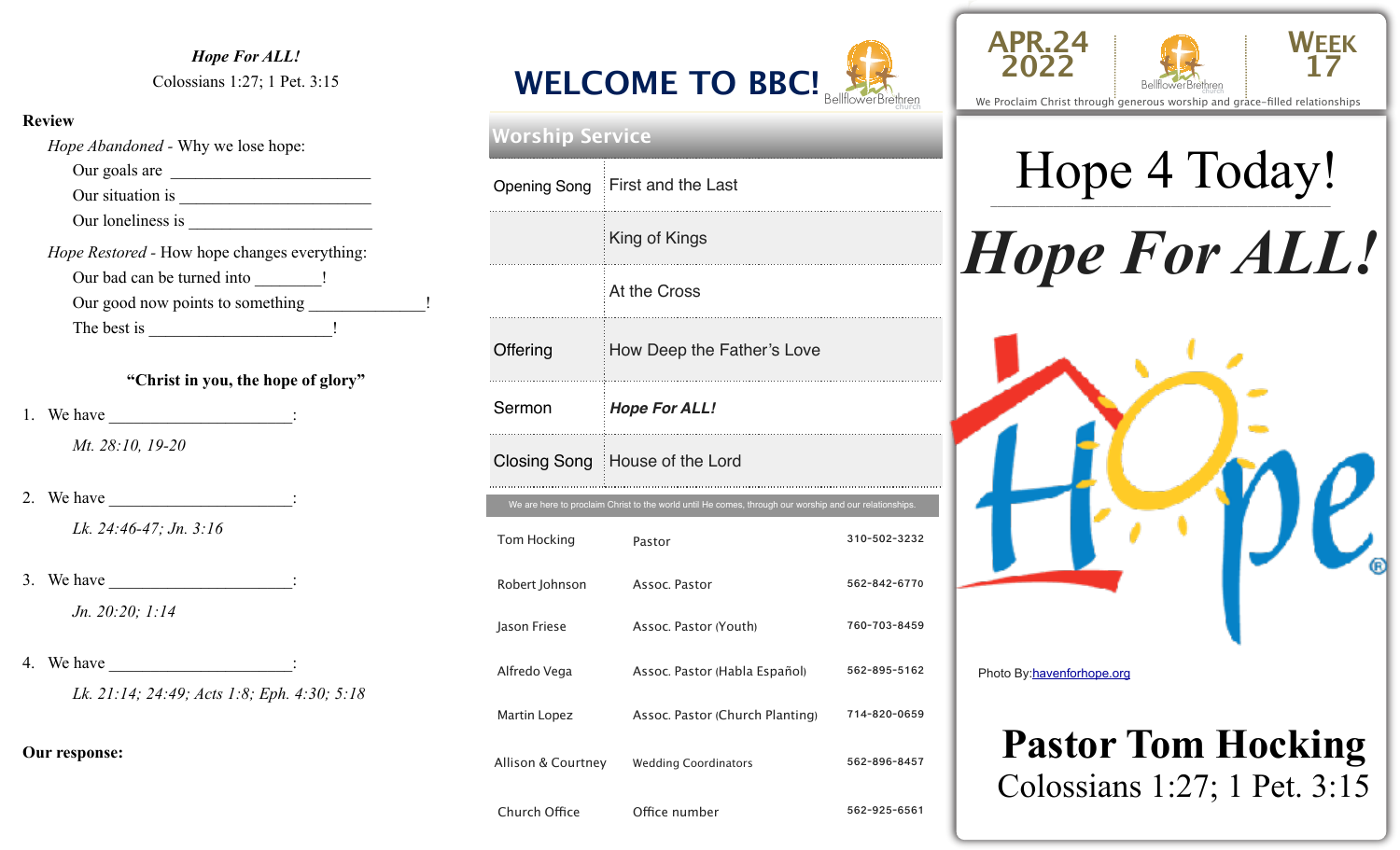#### *Hope For ALL!*  Colossians 1:27; 1 Pet. 3:15

#### **Review**

**Our response:** 

| <i>Hope Abandoned</i> - Why we lose hope:    |
|----------------------------------------------|
| Our goals are                                |
| Our situation is                             |
|                                              |
| Hope Restored - How hope changes everything: |
| Our bad can be turned into _______!          |
| ı                                            |
|                                              |
|                                              |
| "Christ in you, the hope of glory"           |
|                                              |
| Mt. 28:10, 19-20                             |
| 2. We have                                   |
| Lk. 24:46-47; Jn. 3:16                       |
| 3. We have $\qquad \qquad$ :                 |
| Jn. 20:20; 1:14                              |
|                                              |
| 4. We have $\frac{1}{1}$                     |
| Lk. 21:14; 24:49; Acts 1:8; Eph. 4:30; 5:18  |
|                                              |

**<sup>2022</sup> WELCOME TO BBC!** BellflowerBrethren

| Worship Service    |                                                                                                        |              |  |  |  |
|--------------------|--------------------------------------------------------------------------------------------------------|--------------|--|--|--|
|                    | Opening Song First and the Last                                                                        |              |  |  |  |
|                    | King of Kings                                                                                          |              |  |  |  |
|                    | At the Cross                                                                                           |              |  |  |  |
| Offering           | How Deep the Father's Love                                                                             |              |  |  |  |
| Sermon             | <b>Hope For ALL!</b>                                                                                   |              |  |  |  |
|                    |                                                                                                        |              |  |  |  |
|                    | Closing Song   House of the Lord                                                                       |              |  |  |  |
|                    | We are here to proclaim Christ to the world until He comes, through our worship and our relationships. |              |  |  |  |
| Tom Hocking        | Pastor                                                                                                 | 310-502-3232 |  |  |  |
| Robert Johnson     | Assoc. Pastor                                                                                          | 562-842-6770 |  |  |  |
| Jason Friese       | Assoc. Pastor (Youth)                                                                                  | 760-703-8459 |  |  |  |
| Alfredo Vega       | Assoc. Pastor (Habla Español)                                                                          | 562-895-5162 |  |  |  |
| Martin Lopez       | Assoc. Pastor (Church Planting)                                                                        | 714-820-0659 |  |  |  |
| Allison & Courtney | <b>Wedding Coordinators</b>                                                                            | 562-896-8457 |  |  |  |

Church Office **Office number** 562-925-6561





# Hope 4 Today!





## **Pastor Tom Hocking**  Colossians 1:27; 1 Pet. 3:15